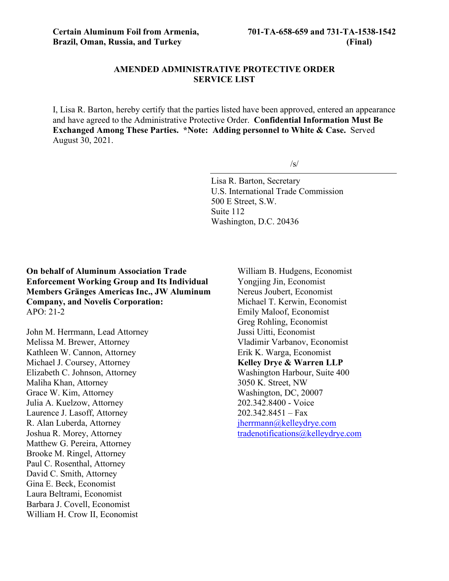### **AMENDED ADMINISTRATIVE PROTECTIVE ORDER SERVICE LIST**

I, Lisa R. Barton, hereby certify that the parties listed have been approved, entered an appearance and have agreed to the Administrative Protective Order. **Confidential Information Must Be Exchanged Among These Parties. \*Note: Adding personnel to White & Case.** Served August 30, 2021.

 $\sqrt{s}$ 

Lisa R. Barton, Secretary U.S. International Trade Commission 500 E Street, S.W. Suite 112 Washington, D.C. 20436

**On behalf of Aluminum Association Trade Enforcement Working Group and Its Individual Members Gränges Americas Inc., JW Aluminum Company, and Novelis Corporation:** APO: 21-2

John M. Herrmann, Lead Attorney Melissa M. Brewer, Attorney Kathleen W. Cannon, Attorney Michael J. Coursey, Attorney Elizabeth C. Johnson, Attorney Maliha Khan, Attorney Grace W. Kim, Attorney Julia A. Kuelzow, Attorney Laurence J. Lasoff, Attorney R. Alan Luberda, Attorney Joshua R. Morey, Attorney Matthew G. Pereira, Attorney Brooke M. Ringel, Attorney Paul C. Rosenthal, Attorney David C. Smith, Attorney Gina E. Beck, Economist Laura Beltrami, Economist Barbara J. Covell, Economist William H. Crow II, Economist

William B. Hudgens, Economist Yongjing Jin, Economist Nereus Joubert, Economist Michael T. Kerwin, Economist Emily Maloof, Economist Greg Rohling, Economist Jussi Uitti, Economist Vladimir Varbanov, Economist Erik K. Warga, Economist **Kelley Drye & Warren LLP** Washington Harbour, Suite 400 3050 K. Street, NW Washington, DC, 20007 202.342.8400 - Voice  $202.342.8451 - Fax$ [jherrmann@kelleydrye.com](mailto:jherrmann@kelleydrye.com) [tradenotifications@kelleydrye.com](mailto:tradenotifications@kelleydrye.com)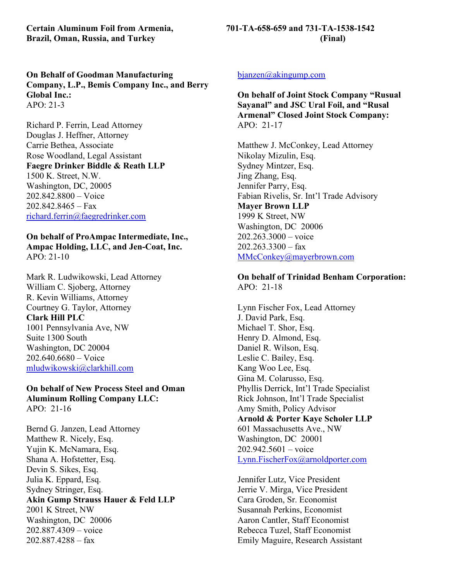**Brazil, Oman, Russia, and Turkey (Final)**

**On Behalf of Goodman Manufacturing Company, L.P., Bemis Company Inc., and Berry Global Inc.:** APO: 21-3

Richard P. Ferrin, Lead Attorney Douglas J. Heffner, Attorney Carrie Bethea, Associate Rose Woodland, Legal Assistant **Faegre Drinker Biddle & Reath LLP** 1500 K. Street, N.W. Washington, DC, 20005 202.842.8800 – Voice  $202.842.8465 - Fax$ [richard.ferrin@faegredrinker.com](mailto:richard.ferrin@faegredrinker.com)

**On behalf of ProAmpac Intermediate, Inc., Ampac Holding, LLC, and Jen-Coat, Inc.** APO: 21-10

Mark R. Ludwikowski, Lead Attorney William C. Sjoberg, Attorney R. Kevin Williams, Attorney Courtney G. Taylor, Attorney **Clark Hill PLC** 1001 Pennsylvania Ave, NW Suite 1300 South Washington, DC 20004 202.640.6680 – Voice [mludwikowski@clarkhill.com](mailto:mludwikowski@clarkhill.com)

**On behalf of New Process Steel and Oman Aluminum Rolling Company LLC:** APO: 21-16

Bernd G. Janzen, Lead Attorney Matthew R. Nicely, Esq. Yujin K. McNamara, Esq. Shana A. Hofstetter, Esq. Devin S. Sikes, Esq. Julia K. Eppard, Esq. Sydney Stringer, Esq. **Akin Gump Strauss Hauer & Feld LLP** 2001 K Street, NW Washington, DC 20006 202.887.4309 – voice 202.887.4288 – fax

### [bjanzen@akingump.com](mailto:bjanzen@akingump.com)

**On behalf of Joint Stock Company "Rusual Sayanal" and JSC Ural Foil, and "Rusal Armenal" Closed Joint Stock Company:** APO: 21-17

Matthew J. McConkey, Lead Attorney Nikolay Mizulin, Esq. Sydney Mintzer, Esq. Jing Zhang, Esq. Jennifer Parry, Esq. Fabian Rivelis, Sr. Int'l Trade Advisory **Mayer Brown LLP** 1999 K Street, NW Washington, DC 20006 202.263.3000 – voice  $202.263.3300 - fax$ [MMcConkey@mayerbrown.com](mailto:MMcConkey@mayerbrown.com)

### **On behalf of Trinidad Benham Corporation:** APO: 21-18

Lynn Fischer Fox, Lead Attorney J. David Park, Esq. Michael T. Shor, Esq. Henry D. Almond, Esq. Daniel R. Wilson, Esq. Leslie C. Bailey, Esq. Kang Woo Lee, Esq. Gina M. Colarusso, Esq. Phyllis Derrick, Int'l Trade Specialist Rick Johnson, Int'l Trade Specialist Amy Smith, Policy Advisor **Arnold & Porter Kaye Scholer LLP** 601 Massachusetts Ave., NW Washington, DC 20001 202.942.5601 – voice [Lynn.FischerFox@arnoldporter.com](mailto:Lynn.FischerFox@arnoldporter.com)

Jennifer Lutz, Vice President Jerrie V. Mirga, Vice President Cara Groden, Sr. Economist Susannah Perkins, Economist Aaron Cantler, Staff Economist Rebecca Tuzel, Staff Economist Emily Maguire, Research Assistant